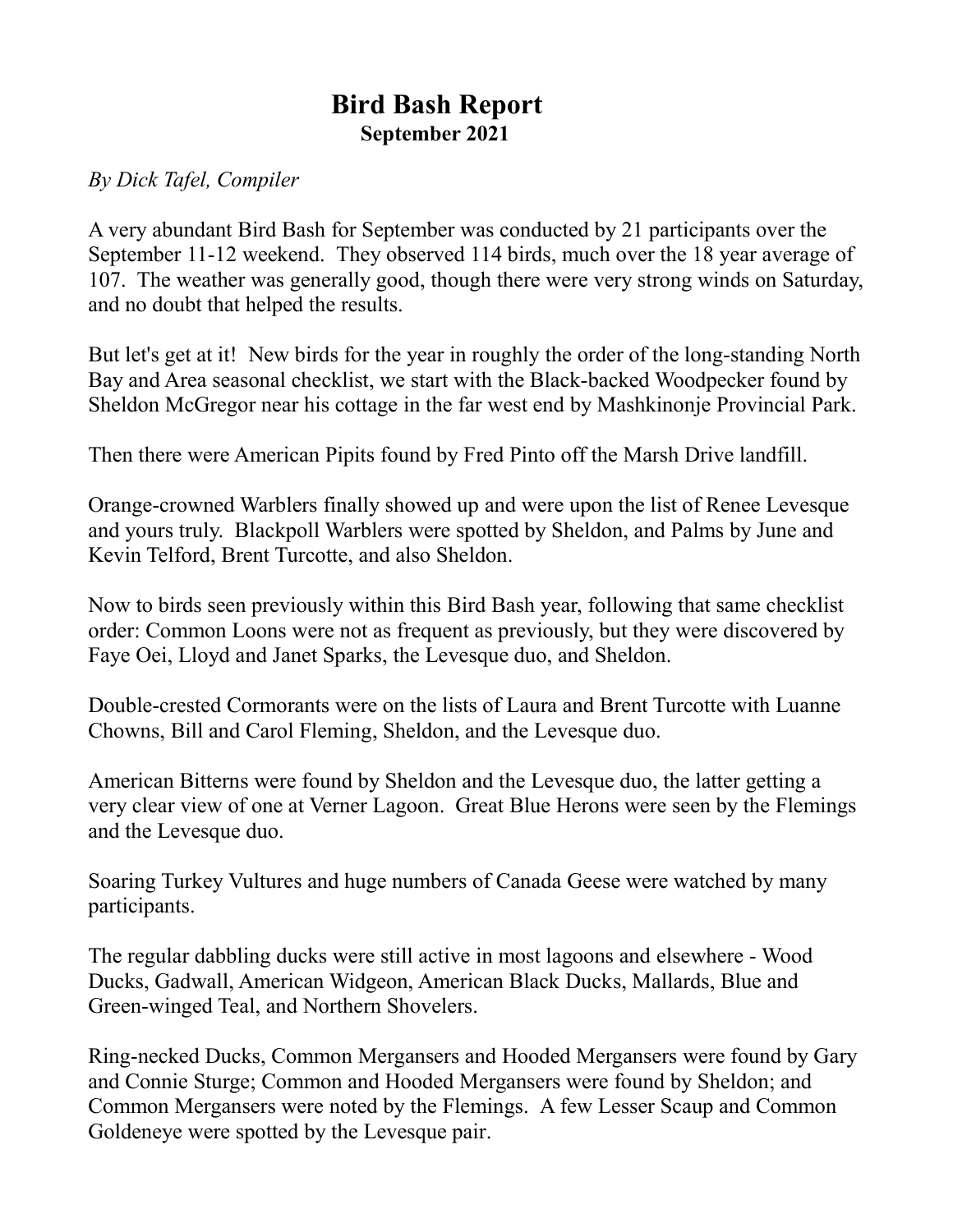## **Bird Bash Report September 2021**

*By Dick Tafel, Compiler*

A very abundant Bird Bash for September was conducted by 21 participants over the September 11-12 weekend. They observed 114 birds, much over the 18 year average of 107. The weather was generally good, though there were very strong winds on Saturday, and no doubt that helped the results.

But let's get at it! New birds for the year in roughly the order of the long-standing North Bay and Area seasonal checklist, we start with the Black-backed Woodpecker found by Sheldon McGregor near his cottage in the far west end by Mashkinonje Provincial Park.

Then there were American Pipits found by Fred Pinto off the Marsh Drive landfill.

Orange-crowned Warblers finally showed up and were upon the list of Renee Levesque and yours truly. Blackpoll Warblers were spotted by Sheldon, and Palms by June and Kevin Telford, Brent Turcotte, and also Sheldon.

Now to birds seen previously within this Bird Bash year, following that same checklist order: Common Loons were not as frequent as previously, but they were discovered by Faye Oei, Lloyd and Janet Sparks, the Levesque duo, and Sheldon.

Double-crested Cormorants were on the lists of Laura and Brent Turcotte with Luanne Chowns, Bill and Carol Fleming, Sheldon, and the Levesque duo.

American Bitterns were found by Sheldon and the Levesque duo, the latter getting a very clear view of one at Verner Lagoon. Great Blue Herons were seen by the Flemings and the Levesque duo.

Soaring Turkey Vultures and huge numbers of Canada Geese were watched by many participants.

The regular dabbling ducks were still active in most lagoons and elsewhere - Wood Ducks, Gadwall, American Widgeon, American Black Ducks, Mallards, Blue and Green-winged Teal, and Northern Shovelers.

Ring-necked Ducks, Common Mergansers and Hooded Mergansers were found by Gary and Connie Sturge; Common and Hooded Mergansers were found by Sheldon; and Common Mergansers were noted by the Flemings. A few Lesser Scaup and Common Goldeneye were spotted by the Levesque pair.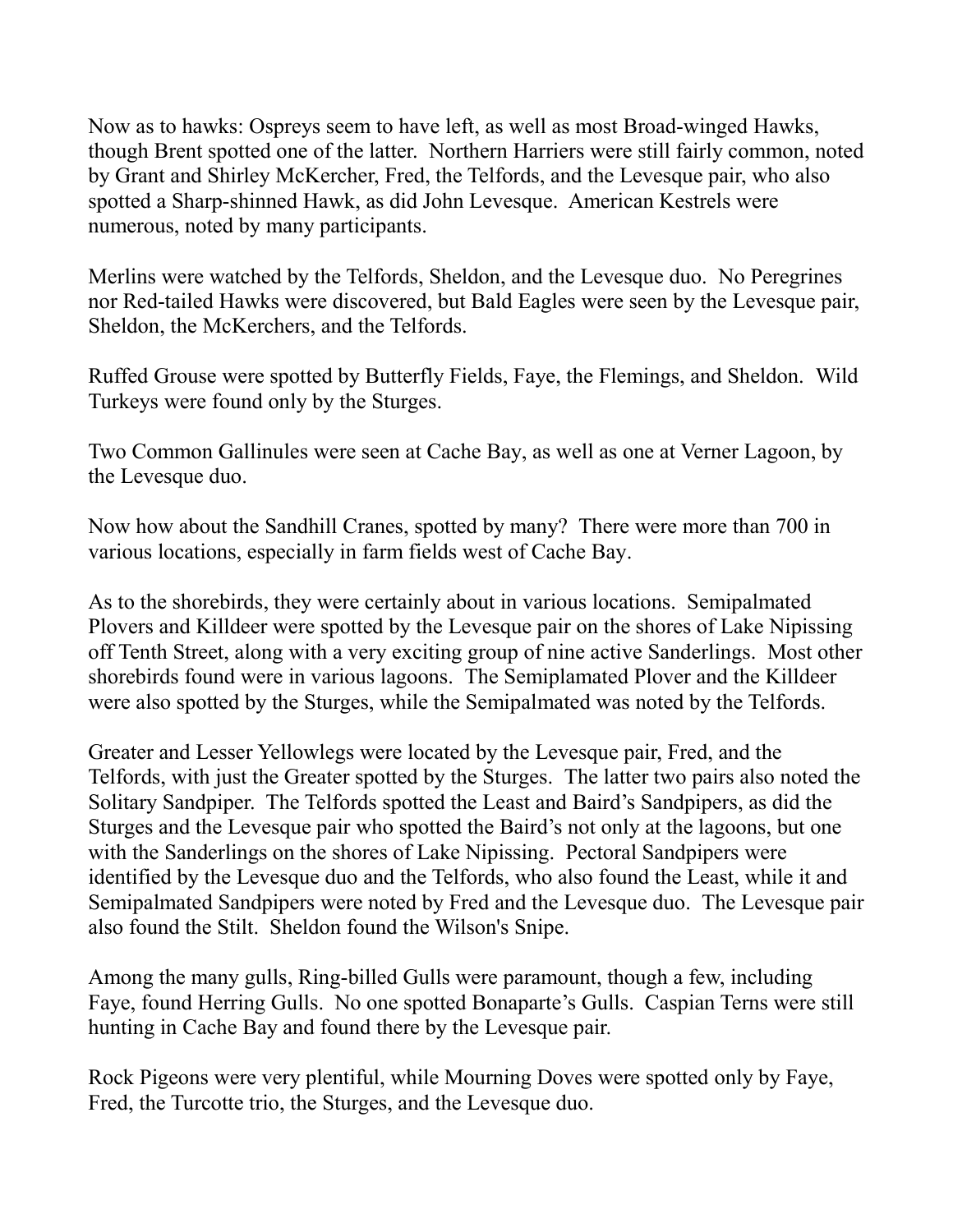Now as to hawks: Ospreys seem to have left, as well as most Broad-winged Hawks, though Brent spotted one of the latter. Northern Harriers were still fairly common, noted by Grant and Shirley McKercher, Fred, the Telfords, and the Levesque pair, who also spotted a Sharp-shinned Hawk, as did John Levesque. American Kestrels were numerous, noted by many participants.

Merlins were watched by the Telfords, Sheldon, and the Levesque duo. No Peregrines nor Red-tailed Hawks were discovered, but Bald Eagles were seen by the Levesque pair, Sheldon, the McKerchers, and the Telfords.

Ruffed Grouse were spotted by Butterfly Fields, Faye, the Flemings, and Sheldon. Wild Turkeys were found only by the Sturges.

Two Common Gallinules were seen at Cache Bay, as well as one at Verner Lagoon, by the Levesque duo.

Now how about the Sandhill Cranes, spotted by many? There were more than 700 in various locations, especially in farm fields west of Cache Bay.

As to the shorebirds, they were certainly about in various locations. Semipalmated Plovers and Killdeer were spotted by the Levesque pair on the shores of Lake Nipissing off Tenth Street, along with a very exciting group of nine active Sanderlings. Most other shorebirds found were in various lagoons. The Semiplamated Plover and the Killdeer were also spotted by the Sturges, while the Semipalmated was noted by the Telfords.

Greater and Lesser Yellowlegs were located by the Levesque pair, Fred, and the Telfords, with just the Greater spotted by the Sturges. The latter two pairs also noted the Solitary Sandpiper. The Telfords spotted the Least and Baird's Sandpipers, as did the Sturges and the Levesque pair who spotted the Baird's not only at the lagoons, but one with the Sanderlings on the shores of Lake Nipissing. Pectoral Sandpipers were identified by the Levesque duo and the Telfords, who also found the Least, while it and Semipalmated Sandpipers were noted by Fred and the Levesque duo. The Levesque pair also found the Stilt. Sheldon found the Wilson's Snipe.

Among the many gulls, Ring-billed Gulls were paramount, though a few, including Faye, found Herring Gulls. No one spotted Bonaparte's Gulls. Caspian Terns were still hunting in Cache Bay and found there by the Levesque pair.

Rock Pigeons were very plentiful, while Mourning Doves were spotted only by Faye, Fred, the Turcotte trio, the Sturges, and the Levesque duo.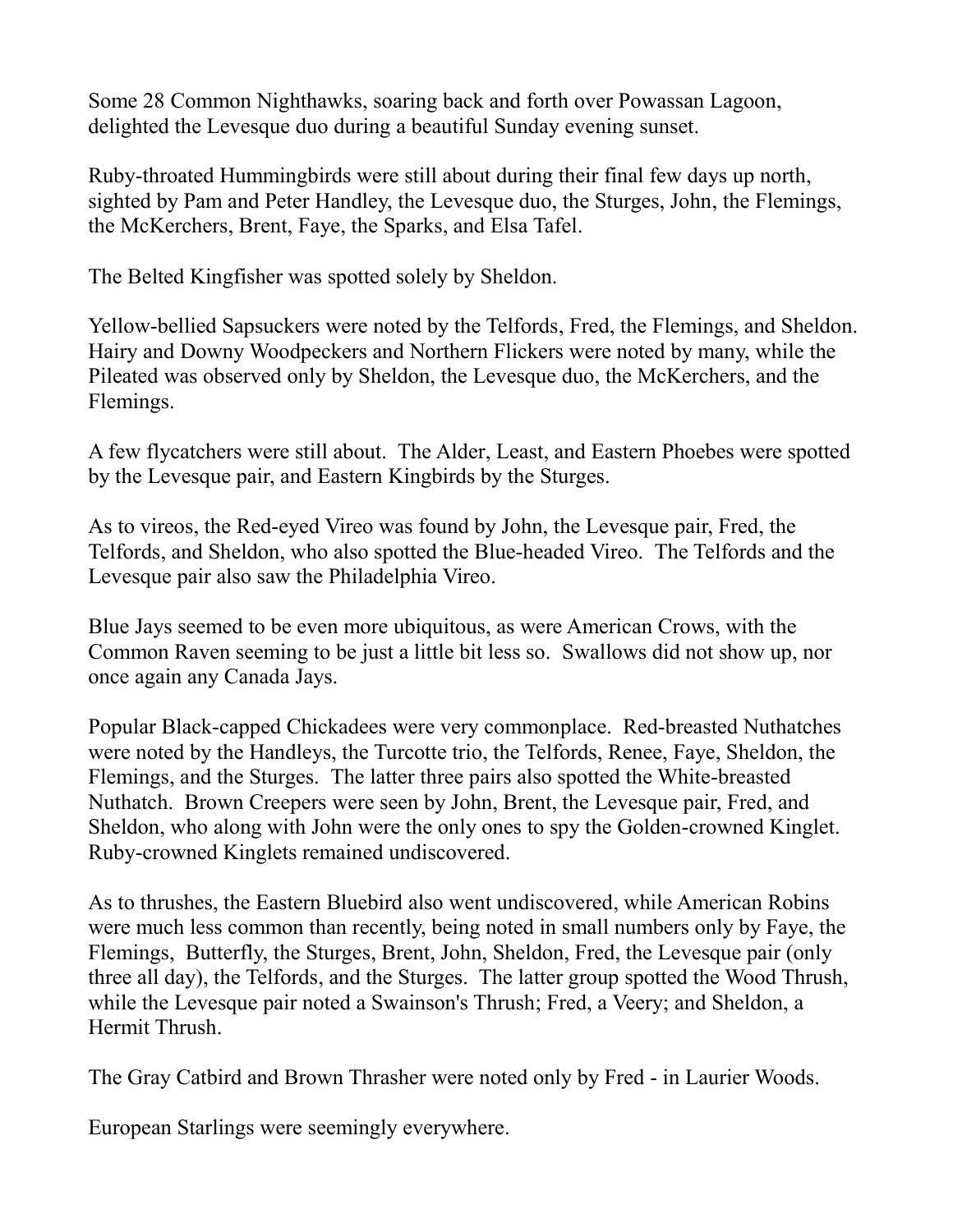Some 28 Common Nighthawks, soaring back and forth over Powassan Lagoon, delighted the Levesque duo during a beautiful Sunday evening sunset.

Ruby-throated Hummingbirds were still about during their final few days up north, sighted by Pam and Peter Handley, the Levesque duo, the Sturges, John, the Flemings, the McKerchers, Brent, Faye, the Sparks, and Elsa Tafel.

The Belted Kingfisher was spotted solely by Sheldon.

Yellow-bellied Sapsuckers were noted by the Telfords, Fred, the Flemings, and Sheldon. Hairy and Downy Woodpeckers and Northern Flickers were noted by many, while the Pileated was observed only by Sheldon, the Levesque duo, the McKerchers, and the Flemings.

A few flycatchers were still about. The Alder, Least, and Eastern Phoebes were spotted by the Levesque pair, and Eastern Kingbirds by the Sturges.

As to vireos, the Red-eyed Vireo was found by John, the Levesque pair, Fred, the Telfords, and Sheldon, who also spotted the Blue-headed Vireo. The Telfords and the Levesque pair also saw the Philadelphia Vireo.

Blue Jays seemed to be even more ubiquitous, as were American Crows, with the Common Raven seeming to be just a little bit less so. Swallows did not show up, nor once again any Canada Jays.

Popular Black-capped Chickadees were very commonplace. Red-breasted Nuthatches were noted by the Handleys, the Turcotte trio, the Telfords, Renee, Faye, Sheldon, the Flemings, and the Sturges. The latter three pairs also spotted the White-breasted Nuthatch. Brown Creepers were seen by John, Brent, the Levesque pair, Fred, and Sheldon, who along with John were the only ones to spy the Golden-crowned Kinglet. Ruby-crowned Kinglets remained undiscovered.

As to thrushes, the Eastern Bluebird also went undiscovered, while American Robins were much less common than recently, being noted in small numbers only by Faye, the Flemings, Butterfly, the Sturges, Brent, John, Sheldon, Fred, the Levesque pair (only three all day), the Telfords, and the Sturges. The latter group spotted the Wood Thrush, while the Levesque pair noted a Swainson's Thrush; Fred, a Veery; and Sheldon, a Hermit Thrush.

The Gray Catbird and Brown Thrasher were noted only by Fred - in Laurier Woods.

European Starlings were seemingly everywhere.